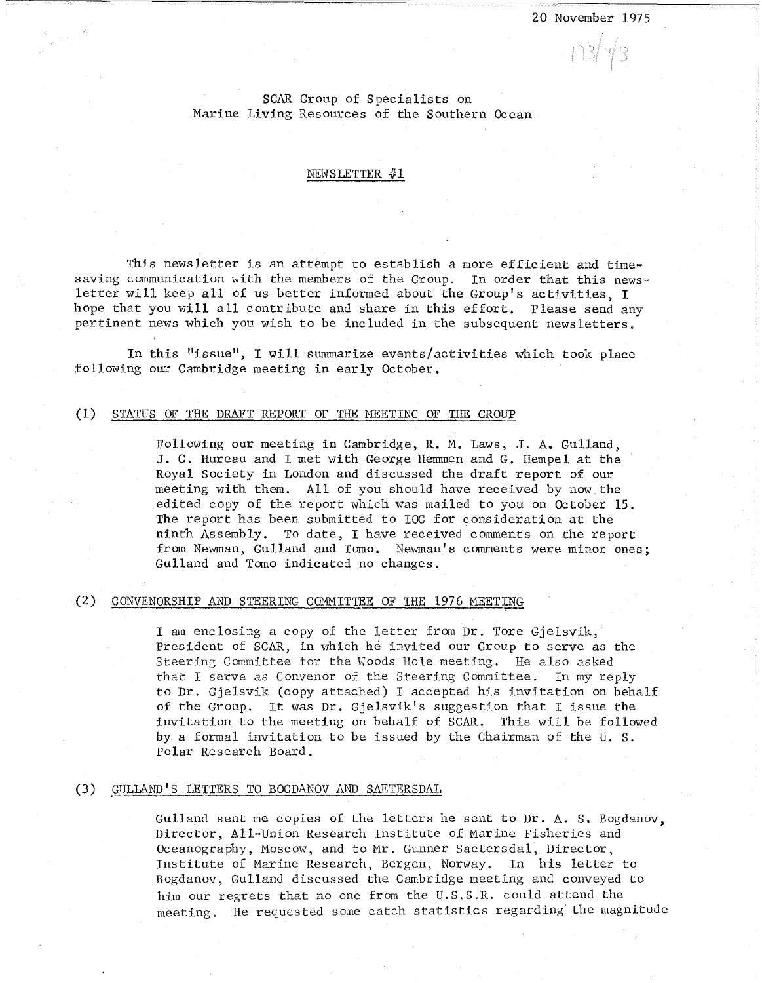$1348$ 

## SCAR Group of Specialists on Marine Living Resources of the Southern Ocean

#### NEWSLETTER  $#1$

This newsletter is an attempt to establish a more efficient and timesaving communication with the members of the Group. In order that this newsletter will keep all of us better informed about the Group's activities, I hope that you will all contribute and share in this effort. Please send any pertinent news which you wish to be included in the subsequent newsletters.

In this "issue", I will summarize events/activities which took place following our Cambridge meeting in early October.

#### (1) STATUS OF THE DRAFT REPORT OF THE MEETING OF THE GROUP

Following our meeting in Cambridge, R. M. Laws, J. A. Gulland, J. C. Hureau and I met with George Hemmen and G. Hempel at the Royal Society in London and discussed the draft report of our meeting with them. All of you should have received by now the edited copy of the report which was mailed to you on October 15. The report has been submitted to IOC for consideration at the ninth Assembly. To date, I have received comments on the report from Newman, Gulland and Tomo. Newman's comments were minor ones; Gulland and Tomo indicated no changes.

### (2) CONVENORSHIP AND STEERING COMMITTEE OF THE 1976 MEETING

I am enclosing a copy of the letter from Dr. Tore Gjelsvik, President of SCAR, in which he invited our Group to serve as the Steering Committee for the Woods Hole meeting. He also asked that I serve as Convenor of the Steering Committee. In my reply to Dr. Gjelsvik (copy attached) I accepted his invitation on behalf of the Group. It was  $Dr. Gjelsvik's suggestion that I issue the$ invitation to the meeting on behalf of SCAR. This will be followed by a formal invitation to be issued by the Chairman of the U. S. Polar Research Board.

### (3) GULLAND'S LETTERS TO BOGDANOV AND SAETERSDAL

Gulland sent me copies of the letters he sent to Dr. A. S. Bogdanov, Director, All-Union Research Institute of Marine Fisheries and Oceanography, Moscow, and to Mr. Gunner Saetersdal, Director, Institute of Marine Research, Bergen, Norway. In his letter to Bogdanov, Gulland discussed the Cambridge meeting and conveyed to him our regrets that no one from the U.S.S.R. could attend the meeting. He requested some catch statistics regarding· the magnitude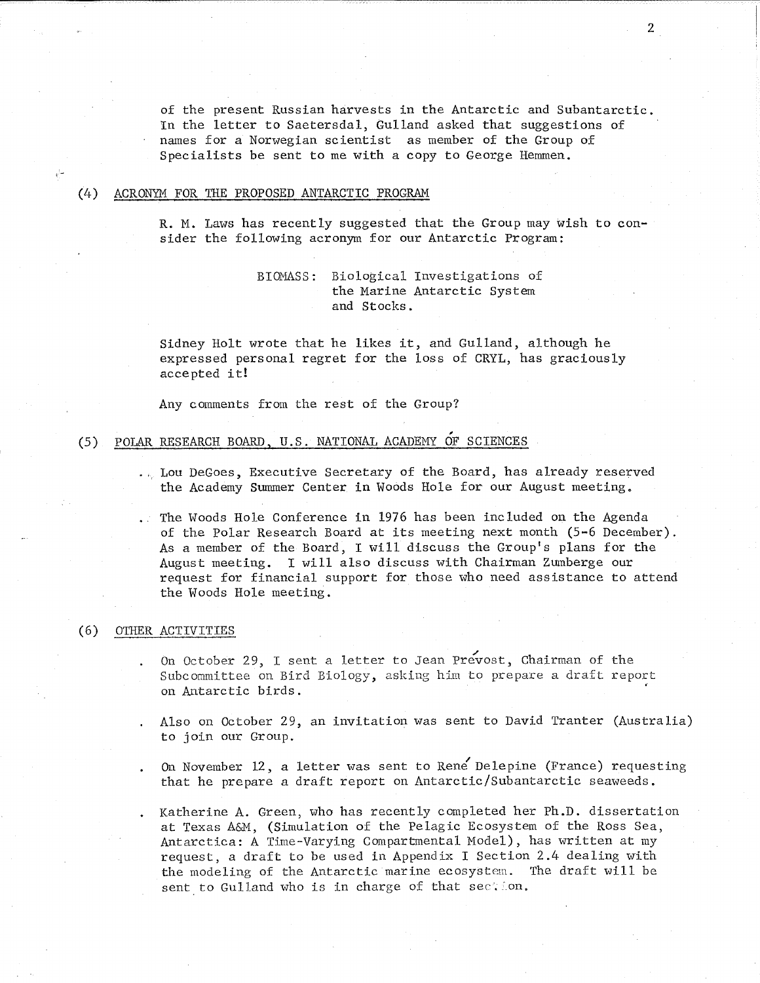of the present Russian harvests in the Antarctic and Subantarctic. In the letter to Saetersdal, Gulland asked that suggestions of names for a Norwegian scientist as member of the Group of Specialists be sent to me with a copy to George Hemmen.

#### (4) ACRONYM FOR THE PROPOSED ANTARCTIC PROGRAM

R. M. Laws has recently suggested that the Group may wish to consider the following acronym for our Antarctic Program:

## BIOMASS: Biological Investigations of the Marine Antarctic System and Stocks.

Sidney Holt wrote that he likes it, and Gulland, although he expressed personal regret for the loss of CRYL, has graciously accepted it!

Any comments from the rest of the Group?

# , (5) POLAR RESEARCH BOARD, U.S. NATIONAL ACADEMY OF SCIENCES

 $L_{\nu}$  Lou DeGoes, Executive Secretary of the Board, has already reserved the Academy Summer Center in Woods Hole for our August meeting.

The Woods Hole Conference in 1976 has been included on the Agenda of the Polar Research Board at its meeting next month (5-6 December). As a member of the Board, I will discuss the Group's plans for the August meeting. I will also discuss with Chairman Zumberge our request for financial support for those who need assistance to attend the Woods Hole meeting.

## (6) OTHER ACTIVITIES

On October 29, I sent a letter to Jean Prevost, Chairman of the Subcommittee on Bird Biology, asking him to prepare a draft report **on Antarctic birds.** <sup>~</sup>

- Also on October 29, an invitation was sent to David Tranter (Australia) to join our Group.
- On November 12, a letter was sent to Rene Delepine (France) requesting that he prepare a draft report on Antarctic/Subantarctic seaweeds.

Katherine A. Green, who has recently completed her Ph.D. dissertation at Texas A&M, (Simulation of the Pelagic Ecosystem of the Ross Sea, Antarctica: A Time-Varying Compartmental Model), has written at my request, a draft to be used in Appendix I Section 2.4 dealing with the modeling of the Antarctic marine ecosystem. The draft will be sent to Gulland who is in charge of that section.

2